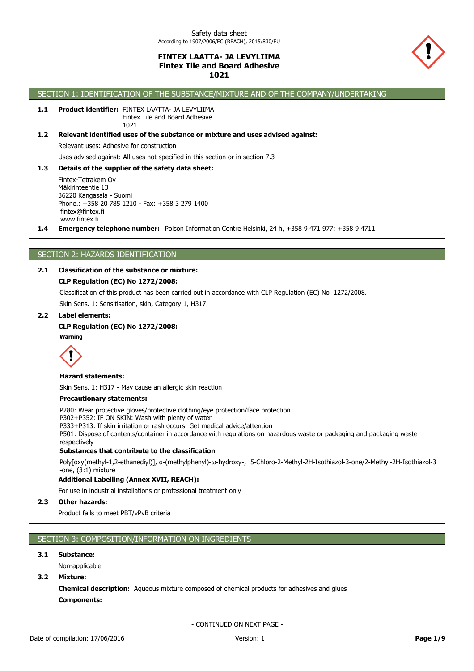

## SECTION 1: IDENTIFICATION OF THE SUBSTANCE/MIXTURE AND OF THE COMPANY/UNDERTAKING

#### **1.1 Product identifier: FINTEX LAATTA- JA LEVYLIIMA** Fintex Tile and Board Adhesive 1021

**1.2 Relevant identified uses of the substance or mixture and uses advised against:**

Relevant uses: Adhesive for construction

Uses advised against: All uses not specified in this section or in section 7.3

#### **1.3 Details of the supplier of the safety data sheet:**

Fintex-Tetrakem Oy Mäkirinteentie 13 36220 Kangasala - Suomi Phone.: +358 20 785 1210 - Fax: +358 3 279 1400 fintex@fintex.fi www.fintex.fi

**1.4 Emergency telephone number:** Poison Information Centre Helsinki, 24 h, +358 9 471 977; +358 9 4711

## SECTION 2: HAZARDS IDENTIFICATION

#### **2.1 Classification of the substance or mixture:**

#### **CLP Regulation (EC) No 1272/2008:**

Classification of this product has been carried out in accordance with CLP Regulation (EC) No 1272/2008.

Skin Sens. 1: Sensitisation, skin, Category 1, H317

#### **2.2 Label elements:**

#### **CLP Regulation (EC) No 1272/2008:**

**Warning**



#### **Hazard statements:**

Skin Sens. 1: H317 - May cause an allergic skin reaction

#### **Precautionary statements:**

P280: Wear protective gloves/protective clothing/eye protection/face protection

P302+P352: IF ON SKIN: Wash with plenty of water

P333+P313: If skin irritation or rash occurs: Get medical advice/attention

P501: Dispose of contents/container in accordance with regulations on hazardous waste or packaging and packaging waste respectively

#### **Substances that contribute to the classification**

Poly[oxy(methyl-1,2-ethanediyl)], α-(methylphenyl)-ω-hydroxy-; 5-Chloro-2-Methyl-2H-Isothiazol-3-one/2-Methyl-2H-Isothiazol-3 -one, (3:1) mixture

## **Additional Labelling (Annex XVII, REACH):**

For use in industrial installations or professional treatment only

## **2.3 Other hazards:**

Product fails to meet PBT/vPvB criteria

## SECTION 3: COMPOSITION/INFORMATION ON INGREDIENTS

#### **3.1 Substance:**

Non-applicable

**3.2 Mixture:**

**Components: Chemical description:** Aqueous mixture composed of chemical products for adhesives and glues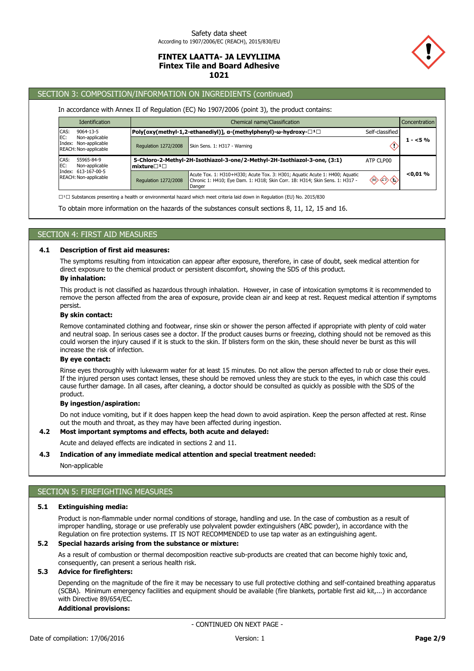

# SECTION 3: COMPOSITION/INFORMATION ON INGREDIENTS (continued)

#### In accordance with Annex II of Regulation (EC) No 1907/2006 (point 3), the product contains:

|             | <b>Identification</b><br>Chemical name/Classification<br>Concentration        |                                                                                                                               |                                                                                                                                                                       |                                                                    |           |
|-------------|-------------------------------------------------------------------------------|-------------------------------------------------------------------------------------------------------------------------------|-----------------------------------------------------------------------------------------------------------------------------------------------------------------------|--------------------------------------------------------------------|-----------|
| CAS:        | 9064-13-5<br>Non-applicable<br>Index: Non-applicable<br>REACH: Non-applicable | Poly[oxy(methyl-1,2-ethanediyl)], $a$ -(methylphenyl)- $\omega$ -hydroxy- $\square$ <sup>1</sup> $\square$<br>Self-classified |                                                                                                                                                                       |                                                                    |           |
| EC:         |                                                                               | <b>Regulation 1272/2008</b>                                                                                                   | Skin Sens. 1: H317 - Warning                                                                                                                                          |                                                                    | $1 - 5\%$ |
| CAS:<br>EC: | 55965-84-9<br>Non-applicable<br>Index: 613-167-00-5<br>REACH: Non-applicable  | mixture $\square$ <sup>1</sup> $\square$                                                                                      | 5-Chloro-2-Methyl-2H-Isothiazol-3-one/2-Methyl-2H-Isothiazol-3-one, (3:1)                                                                                             | ATP CLP00                                                          |           |
|             |                                                                               | <b>Regulation 1272/2008</b>                                                                                                   | Acute Tox. 1: H310+H330; Acute Tox. 3: H301; Aquatic Acute 1: H400; Aquatic<br>Chronic 1: H410; Eye Dam. 1: H318; Skin Corr. 1B: H314; Skin Sens. 1: H317 -<br>Danger | $\langle \mathbb{R} \rangle$ ( $\mathbb{R} \rangle$ ( $\mathbb{R}$ | < 0.01 %  |

⁽¹⁽ Substances presenting a health or environmental hazard which meet criteria laid down in Regulation (EU) No. 2015/830

To obtain more information on the hazards of the substances consult sections 8, 11, 12, 15 and 16.

## SECTION 4: FIRST AID MEASURES

#### **4.1 Description of first aid measures:**

The symptoms resulting from intoxication can appear after exposure, therefore, in case of doubt, seek medical attention for direct exposure to the chemical product or persistent discomfort, showing the SDS of this product.

## **By inhalation:**

This product is not classified as hazardous through inhalation. However, in case of intoxication symptoms it is recommended to remove the person affected from the area of exposure, provide clean air and keep at rest. Request medical attention if symptoms persist.

#### **By skin contact:**

Remove contaminated clothing and footwear, rinse skin or shower the person affected if appropriate with plenty of cold water and neutral soap. In serious cases see a doctor. If the product causes burns or freezing, clothing should not be removed as this could worsen the injury caused if it is stuck to the skin. If blisters form on the skin, these should never be burst as this will increase the risk of infection.

#### **By eye contact:**

Rinse eyes thoroughly with lukewarm water for at least 15 minutes. Do not allow the person affected to rub or close their eyes. If the injured person uses contact lenses, these should be removed unless they are stuck to the eyes, in which case this could cause further damage. In all cases, after cleaning, a doctor should be consulted as quickly as possible with the SDS of the product.

#### **By ingestion/aspiration:**

Do not induce vomiting, but if it does happen keep the head down to avoid aspiration. Keep the person affected at rest. Rinse out the mouth and throat, as they may have been affected during ingestion.

## **4.2 Most important symptoms and effects, both acute and delayed:**

Acute and delayed effects are indicated in sections 2 and 11.

#### **4.3 Indication of any immediate medical attention and special treatment needed:**

Non-applicable

## SECTION 5: FIREFIGHTING MEASURES

#### **5.1 Extinguishing media:**

Product is non-flammable under normal conditions of storage, handling and use. In the case of combustion as a result of improper handling, storage or use preferably use polyvalent powder extinguishers (ABC powder), in accordance with the Regulation on fire protection systems. IT IS NOT RECOMMENDED to use tap water as an extinguishing agent.

#### **5.2 Special hazards arising from the substance or mixture:**

As a result of combustion or thermal decomposition reactive sub-products are created that can become highly toxic and, consequently, can present a serious health risk.

#### **5.3 Advice for firefighters:**

Depending on the magnitude of the fire it may be necessary to use full protective clothing and self-contained breathing apparatus (SCBA). Minimum emergency facilities and equipment should be available (fire blankets, portable first aid kit,...) in accordance with Directive 89/654/EC.

## **Additional provisions:**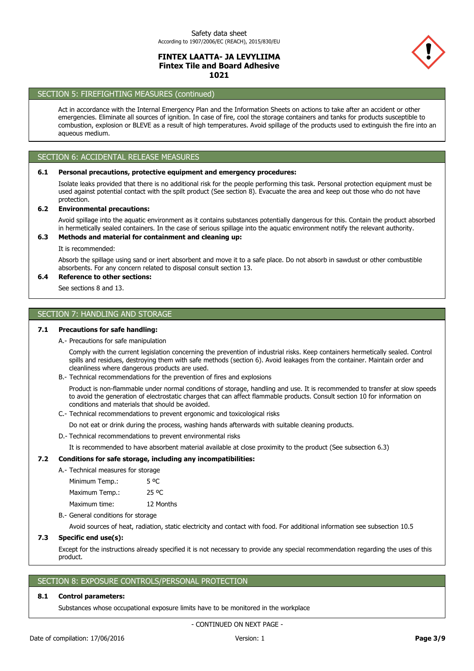

## SECTION 5: FIREFIGHTING MEASURES (continued)

Act in accordance with the Internal Emergency Plan and the Information Sheets on actions to take after an accident or other emergencies. Eliminate all sources of ignition. In case of fire, cool the storage containers and tanks for products susceptible to combustion, explosion or BLEVE as a result of high temperatures. Avoid spillage of the products used to extinguish the fire into an aqueous medium.

#### SECTION 6: ACCIDENTAL RELEASE MEASURES

#### **6.1 Personal precautions, protective equipment and emergency procedures:**

Isolate leaks provided that there is no additional risk for the people performing this task. Personal protection equipment must be used against potential contact with the spilt product (See section 8). Evacuate the area and keep out those who do not have protection.

#### **6.2 Environmental precautions:**

Avoid spillage into the aquatic environment as it contains substances potentially dangerous for this. Contain the product absorbed in hermetically sealed containers. In the case of serious spillage into the aquatic environment notify the relevant authority.

## **6.3 Methods and material for containment and cleaning up:**

It is recommended:

Absorb the spillage using sand or inert absorbent and move it to a safe place. Do not absorb in sawdust or other combustible absorbents. For any concern related to disposal consult section 13.

# **6.4 Reference to other sections:**

See sections 8 and 13.

## SECTION 7: HANDLING AND STORAGE

#### **7.1 Precautions for safe handling:**

A.- Precautions for safe manipulation

Comply with the current legislation concerning the prevention of industrial risks. Keep containers hermetically sealed. Control spills and residues, destroying them with safe methods (section 6). Avoid leakages from the container. Maintain order and cleanliness where dangerous products are used.

B.- Technical recommendations for the prevention of fires and explosions

Product is non-flammable under normal conditions of storage, handling and use. It is recommended to transfer at slow speeds to avoid the generation of electrostatic charges that can affect flammable products. Consult section 10 for information on conditions and materials that should be avoided.

C.- Technical recommendations to prevent ergonomic and toxicological risks

Do not eat or drink during the process, washing hands afterwards with suitable cleaning products.

D.- Technical recommendations to prevent environmental risks

It is recommended to have absorbent material available at close proximity to the product (See subsection 6.3)

#### **7.2 Conditions for safe storage, including any incompatibilities:**

#### A.- Technical measures for storage

Maximum time: 12 Months Maximum Temp.: 25 °C Minimum Temp.: 5 °C

B.- General conditions for storage

Avoid sources of heat, radiation, static electricity and contact with food. For additional information see subsection 10.5

#### **7.3 Specific end use(s):**

Except for the instructions already specified it is not necessary to provide any special recommendation regarding the uses of this product.

#### SECTION 8: EXPOSURE CONTROLS/PERSONAL PROTECTION

#### **8.1 Control parameters:**

Substances whose occupational exposure limits have to be monitored in the workplace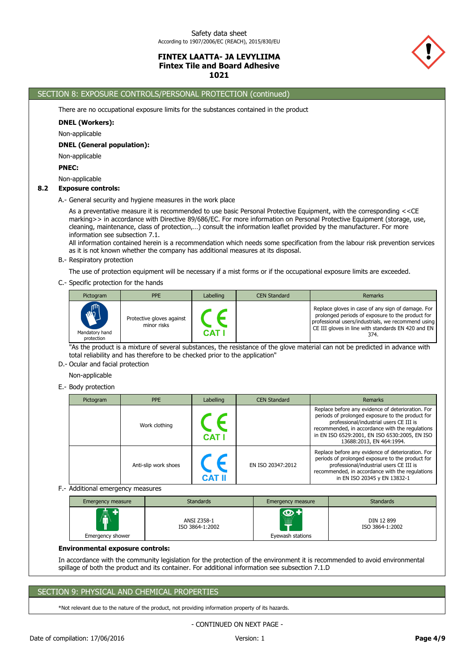

SECTION 8: EXPOSURE CONTROLS/PERSONAL PROTECTION (continued)

There are no occupational exposure limits for the substances contained in the product

**DNEL (Workers):**

Non-applicable

#### **DNEL (General population):**

Non-applicable

**PNEC:**

Non-applicable

#### **8.2 Exposure controls:**

A.- General security and hygiene measures in the work place

As a preventative measure it is recommended to use basic Personal Protective Equipment, with the corresponding <<CE marking>> in accordance with Directive 89/686/EC. For more information on Personal Protective Equipment (storage, use, cleaning, maintenance, class of protection,…) consult the information leaflet provided by the manufacturer. For more information see subsection 7.1.

All information contained herein is a recommendation which needs some specification from the labour risk prevention services as it is not known whether the company has additional measures at its disposal.

#### B.- Respiratory protection

The use of protection equipment will be necessary if a mist forms or if the occupational exposure limits are exceeded.

#### C.- Specific protection for the hands

| Pictogram                                  | <b>PPE</b>                               | Labelling  | <b>CEN Standard</b> | Remarks                                                                                                                                                                                                           |
|--------------------------------------------|------------------------------------------|------------|---------------------|-------------------------------------------------------------------------------------------------------------------------------------------------------------------------------------------------------------------|
| <b>ANA</b><br>Mandatory hand<br>protection | Protective gloves against<br>minor risks | <b>CAT</b> |                     | Replace gloves in case of any sign of damage. For<br>prolonged periods of exposure to the product for<br>professional users/industrials, we recommend using<br>CE III gloves in line with standards EN 420 and EN |

"As the product is a mixture of several substances, the resistance of the glove material can not be predicted in advance with total reliability and has therefore to be checked prior to the application"

#### D.- Ocular and facial protection

Non-applicable

#### E.- Body protection

| Pictogram | <b>PPE</b>           | Labelling  | <b>CEN Standard</b> | Remarks                                                                                                                                                                                                                                                                          |
|-----------|----------------------|------------|---------------------|----------------------------------------------------------------------------------------------------------------------------------------------------------------------------------------------------------------------------------------------------------------------------------|
|           | Work clothing        | <b>CAT</b> |                     | Replace before any evidence of deterioration. For<br>periods of prolonged exposure to the product for<br>professional/industrial users CE III is<br>recommended, in accordance with the regulations<br>in EN ISO 6529:2001, EN ISO 6530:2005, EN ISO<br>13688:2013, EN 464:1994. |
|           | Anti-slip work shoes |            | EN ISO 20347:2012   | Replace before any evidence of deterioration. For<br>periods of prolonged exposure to the product for<br>professional/industrial users CE III is<br>recommended, in accordance with the regulations<br>in EN ISO 20345 y EN 13832-1                                              |

#### F.- Additional emergency measures

| <b>Emergency measure</b> | <b>Standards</b>                      | Emergency measure | <b>Standards</b>              |
|--------------------------|---------------------------------------|-------------------|-------------------------------|
| 風                        | <b>ANSI Z358-1</b><br>ISO 3864-1:2002 | ₩                 | DIN 12 899<br>ISO 3864-1:2002 |
| Emergency shower         |                                       | Eyewash stations  |                               |

#### **Environmental exposure controls:**

In accordance with the community legislation for the protection of the environment it is recommended to avoid environmental spillage of both the product and its container. For additional information see subsection 7.1.D

## SECTION 9: PHYSICAL AND CHEMICAL PROPERTIES

\*Not relevant due to the nature of the product, not providing information property of its hazards.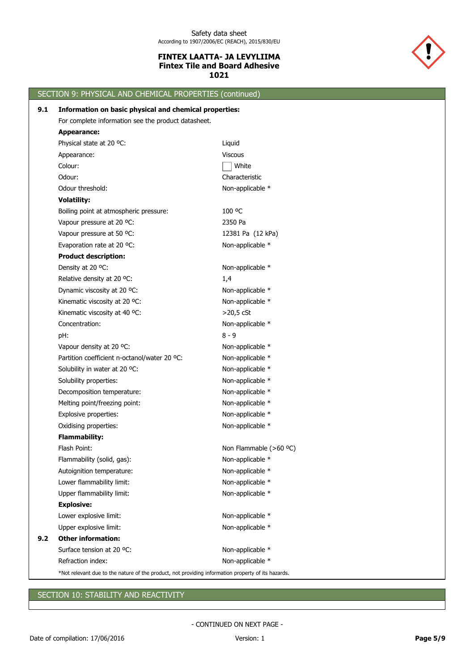

|     | SECTION 9: PHYSICAL AND CHEMICAL PROPERTIES (continued)                                            |                        |
|-----|----------------------------------------------------------------------------------------------------|------------------------|
| 9.1 | Information on basic physical and chemical properties:                                             |                        |
|     | For complete information see the product datasheet.                                                |                        |
|     | <b>Appearance:</b>                                                                                 |                        |
|     | Physical state at 20 °C:                                                                           | Liquid                 |
|     | Appearance:                                                                                        | <b>Viscous</b>         |
|     | Colour:                                                                                            | White                  |
|     | Odour:                                                                                             | Characteristic         |
|     | Odour threshold:                                                                                   | Non-applicable *       |
|     | <b>Volatility:</b>                                                                                 |                        |
|     | Boiling point at atmospheric pressure:                                                             | 100 °C                 |
|     | Vapour pressure at 20 °C:                                                                          | 2350 Pa                |
|     | Vapour pressure at 50 °C:                                                                          | 12381 Pa (12 kPa)      |
|     | Evaporation rate at 20 °C:                                                                         | Non-applicable *       |
|     | <b>Product description:</b>                                                                        |                        |
|     | Density at 20 °C:                                                                                  | Non-applicable *       |
|     | Relative density at 20 °C:                                                                         | 1,4                    |
|     | Dynamic viscosity at 20 °C:                                                                        | Non-applicable *       |
|     | Kinematic viscosity at 20 °C:                                                                      | Non-applicable *       |
|     | Kinematic viscosity at 40 °C:                                                                      | $>20,5$ cSt            |
|     | Concentration:                                                                                     | Non-applicable *       |
|     | pH:                                                                                                | $8 - 9$                |
|     | Vapour density at 20 °C:                                                                           | Non-applicable *       |
|     | Partition coefficient n-octanol/water 20 °C:                                                       | Non-applicable *       |
|     | Solubility in water at 20 °C:                                                                      | Non-applicable *       |
|     | Solubility properties:                                                                             | Non-applicable *       |
|     | Decomposition temperature:                                                                         | Non-applicable *       |
|     | Melting point/freezing point:                                                                      | Non-applicable *       |
|     | Explosive properties:                                                                              | Non-applicable *       |
|     | Oxidising properties:                                                                              | Non-applicable *       |
|     | <b>Flammability:</b>                                                                               |                        |
|     | Flash Point:                                                                                       | Non Flammable (>60 °C) |
|     | Flammability (solid, gas):                                                                         | Non-applicable *       |
|     | Autoignition temperature:                                                                          | Non-applicable *       |
|     | Lower flammability limit:                                                                          | Non-applicable *       |
|     | Upper flammability limit:                                                                          | Non-applicable *       |
|     | <b>Explosive:</b>                                                                                  |                        |
|     | Lower explosive limit:                                                                             | Non-applicable *       |
|     | Upper explosive limit:                                                                             | Non-applicable *       |
| 9.2 | <b>Other information:</b>                                                                          |                        |
|     | Surface tension at 20 °C:                                                                          | Non-applicable *       |
|     | Refraction index:                                                                                  | Non-applicable *       |
|     | *Not relevant due to the nature of the product, not providing information property of its hazards. |                        |

# SECTION 10: STABILITY AND REACTIVITY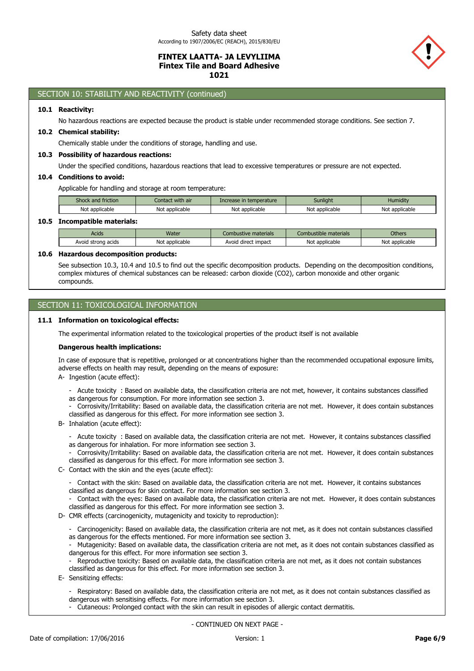

## SECTION 10: STABILITY AND REACTIVITY (continued)

#### **10.1 Reactivity:**

No hazardous reactions are expected because the product is stable under recommended storage conditions. See section 7.

#### **10.2 Chemical stability:**

Chemically stable under the conditions of storage, handling and use.

#### **10.3 Possibility of hazardous reactions:**

Under the specified conditions, hazardous reactions that lead to excessive temperatures or pressure are not expected.

#### **10.4 Conditions to avoid:**

Applicable for handling and storage at room temperature:

| Shock and friction | Contact with air | Increase in temperature | Sunlight            | Humidity       |
|--------------------|------------------|-------------------------|---------------------|----------------|
| Not applicable     | Not applicable   | Not applicable          | Not<br>t applicable | Not applicable |
|                    |                  |                         |                     |                |

#### **10.5 Incompatible materials:**

| Acids                 | Water          | Combustive materials                 | materials<br>.ombust | Others         |
|-----------------------|----------------|--------------------------------------|----------------------|----------------|
| Avoid strong<br>acids | Not applicable | Avoid direc'<br>impact<br><b>CLI</b> | No:<br>* applicable  | Not applicable |

#### **10.6 Hazardous decomposition products:**

See subsection 10.3, 10.4 and 10.5 to find out the specific decomposition products. Depending on the decomposition conditions, complex mixtures of chemical substances can be released: carbon dioxide (CO2), carbon monoxide and other organic compounds.

## SECTION 11: TOXICOLOGICAL INFORMATION

#### **11.1 Information on toxicological effects:**

The experimental information related to the toxicological properties of the product itself is not available

#### **Dangerous health implications:**

In case of exposure that is repetitive, prolonged or at concentrations higher than the recommended occupational exposure limits, adverse effects on health may result, depending on the means of exposure:

- A- Ingestion (acute effect):
	- Acute toxicity : Based on available data, the classification criteria are not met, however, it contains substances classified as dangerous for consumption. For more information see section 3.
	- Corrosivity/Irritability: Based on available data, the classification criteria are not met. However, it does contain substances classified as dangerous for this effect. For more information see section 3.
- B- Inhalation (acute effect):
	- Acute toxicity : Based on available data, the classification criteria are not met. However, it contains substances classified as dangerous for inhalation. For more information see section 3.
	- Corrosivity/Irritability: Based on available data, the classification criteria are not met. However, it does contain substances classified as dangerous for this effect. For more information see section 3.
- C- Contact with the skin and the eyes (acute effect):
	- Contact with the skin: Based on available data, the classification criteria are not met. However, it contains substances classified as dangerous for skin contact. For more information see section 3.
	- Contact with the eyes: Based on available data, the classification criteria are not met. However, it does contain substances classified as dangerous for this effect. For more information see section 3.
- D- CMR effects (carcinogenicity, mutagenicity and toxicity to reproduction):
	- Carcinogenicity: Based on available data, the classification criteria are not met, as it does not contain substances classified as dangerous for the effects mentioned. For more information see section 3.
	- Mutagenicity: Based on available data, the classification criteria are not met, as it does not contain substances classified as dangerous for this effect. For more information see section 3.
	- Reproductive toxicity: Based on available data, the classification criteria are not met, as it does not contain substances classified as dangerous for this effect. For more information see section 3.
- E- Sensitizing effects:
	- Respiratory: Based on available data, the classification criteria are not met, as it does not contain substances classified as dangerous with sensitising effects. For more information see section 3.
	- Cutaneous: Prolonged contact with the skin can result in episodes of allergic contact dermatitis.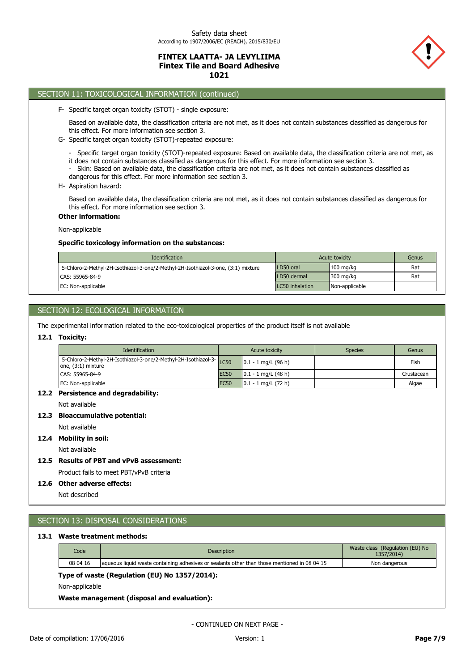

#### SECTION 11: TOXICOLOGICAL INFORMATION (continued) - Cutaneous: Prolonged contact with the skin can result in equation of allergic contact dermatitis.

#### F- Specific target organ toxicity (STOT) - single exposure:

Based on available data, the classification criteria are not met, as it does not contain substances classified as dangerous for this effect. For more information see section 3.

- Respiratory: Based on available data, the classification criteria are not met, as it does not contain substances classified as

G- Specific target organ toxicity (STOT)-repeated exposure:

- Specific target organ toxicity (STOT)-repeated exposure: Based on available data, the classification criteria are not met, as it does not contain substances classified as dangerous for this effect. For more information see section 3.

- Skin: Based on available data, the classification criteria are not met, as it does not contain substances classified as dangerous for this effect. For more information see section 3.
- 

H- Aspiration hazard:

Based on available data, the classification criteria are not met, as it does not contain substances classified as dangerous for this effect. For more information see section 3.

#### **Other information:**

#### Non-applicable

#### **Specific toxicology information on the substances:**

| <b>Identification</b>                                                             | Acute toxicity  | Genus          |     |
|-----------------------------------------------------------------------------------|-----------------|----------------|-----|
| 5-Chloro-2-Methyl-2H-Isothiazol-3-one/2-Methyl-2H-Isothiazol-3-one, (3:1) mixture | LD50 oral       | $100$ mg/kg    | Rat |
| CAS: 55965-84-9                                                                   | LD50 dermal     | 300 mg/kg      | Rat |
| EC: Non-applicable                                                                | LC50 inhalation | Non-applicable |     |

## SECTION 12: ECOLOGICAL INFORMATION

The experimental information related to the eco-toxicological properties of the product itself is not available

#### **12.1 Toxicity:**

| <b>Identification</b>                                                                 |                  | Acute toxicity        | <b>Species</b> | Genus      |
|---------------------------------------------------------------------------------------|------------------|-----------------------|----------------|------------|
| 5-Chloro-2-Methyl-2H-Isothiazol-3-one/2-Methyl-2H-Isothiazol-3-<br>one, (3:1) mixture |                  | $0.1 - 1$ mg/L (96 h) |                | Fish       |
| CAS: 55965-84-9                                                                       | EC <sub>50</sub> | $0.1 - 1$ mg/L (48 h) |                | Crustacean |
| EC: Non-applicable                                                                    | <b>EC50</b>      | $0.1 - 1$ mg/L (72 h) |                | Algae      |

## **12.2 Persistence and degradability:**

Not available

## **12.3 Bioaccumulative potential:**

Not available

**12.4 Mobility in soil:**

Not available

# **12.5 Results of PBT and vPvB assessment:**

Product fails to meet PBT/vPvB criteria

## **12.6 Other adverse effects:**

Not described

#### SECTION 13: DISPOSAL CONSIDERATIONS

## **13.1 Waste treatment methods:**

|                                               | Code<br><b>Description</b>                  |                                                                                              | Waste class (Regulation (EU) No<br>1357/2014) |  |  |  |  |
|-----------------------------------------------|---------------------------------------------|----------------------------------------------------------------------------------------------|-----------------------------------------------|--|--|--|--|
|                                               | 08 04 16                                    | aqueous liquid waste containing adhesives or sealants other than those mentioned in 08 04 15 | Non dangerous                                 |  |  |  |  |
| Type of waste (Regulation (EU) No 1357/2014): |                                             |                                                                                              |                                               |  |  |  |  |
|                                               | Non-applicable                              |                                                                                              |                                               |  |  |  |  |
|                                               | Waste management (disposal and evaluation): |                                                                                              |                                               |  |  |  |  |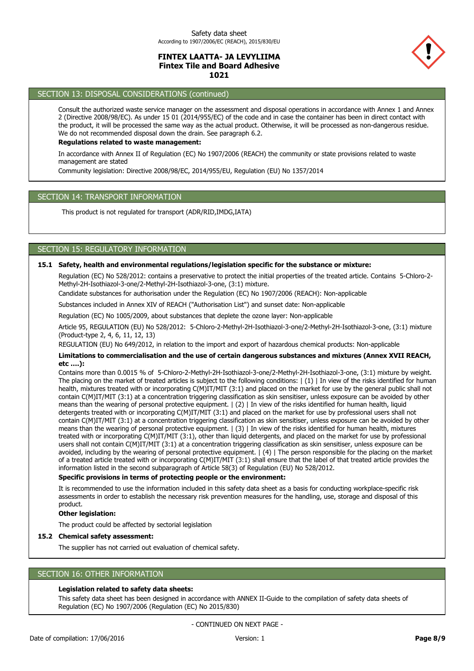

# $SECTION 13: DISPOSAL CONSIDERATIONS (continued)$

Consult the authorized waste service manager on the assessment and disposal operations in accordance with Annex 1 and Annex 2 (Directive 2008/98/EC). As under 15 01 (2014/955/EC) of the code and in case the container has been in direct contact with the product, it will be processed the same way as the actual product. Otherwise, it will be processed as non-dangerous residue. We do not recommended disposal down the drain. See paragraph 6.2.

#### **Regulations related to waste management:**

In accordance with Annex II of Regulation (EC) No 1907/2006 (REACH) the community or state provisions related to waste management are stated

Community legislation: Directive 2008/98/EC, 2014/955/EU, Regulation (EU) No 1357/2014

## SECTION 14: TRANSPORT INFORMATION

This product is not regulated for transport (ADR/RID,IMDG,IATA)

## SECTION 15: REGULATORY INFORMATION

## **15.1 Safety, health and environmental regulations/legislation specific for the substance or mixture:**

Regulation (EC) No 528/2012: contains a preservative to protect the initial properties of the treated article. Contains 5-Chloro-2- Methyl-2H-Isothiazol-3-one/2-Methyl-2H-Isothiazol-3-one, (3:1) mixture.

Candidate substances for authorisation under the Regulation (EC) No 1907/2006 (REACH): Non-applicable

Substances included in Annex XIV of REACH ("Authorisation List") and sunset date: Non-applicable

Regulation (EC) No 1005/2009, about substances that deplete the ozone layer: Non-applicable

Article 95, REGULATION (EU) No 528/2012: 5-Chloro-2-Methyl-2H-Isothiazol-3-one/2-Methyl-2H-Isothiazol-3-one, (3:1) mixture (Product-type 2, 4, 6, 11, 12, 13)

REGULATION (EU) No 649/2012, in relation to the import and export of hazardous chemical products: Non-applicable

#### **Limitations to commercialisation and the use of certain dangerous substances and mixtures (Annex XVII REACH, etc ….):**

Contains more than 0.0015 % of 5-Chloro-2-Methyl-2H-Isothiazol-3-one/2-Methyl-2H-Isothiazol-3-one, (3:1) mixture by weight. The placing on the market of treated articles is subject to the following conditions: | (1) | In view of the risks identified for human health, mixtures treated with or incorporating C(M)IT/MIT (3:1) and placed on the market for use by the general public shall not contain C(M)IT/MIT (3:1) at a concentration triggering classification as skin sensitiser, unless exposure can be avoided by other means than the wearing of personal protective equipment. | (2) | In view of the risks identified for human health, liquid detergents treated with or incorporating C(M)IT/MIT (3:1) and placed on the market for use by professional users shall not contain C(M)IT/MIT (3:1) at a concentration triggering classification as skin sensitiser, unless exposure can be avoided by other means than the wearing of personal protective equipment. | (3) | In view of the risks identified for human health, mixtures treated with or incorporating C(M)IT/MIT (3:1), other than liquid detergents, and placed on the market for use by professional users shall not contain C(M)IT/MIT (3:1) at a concentration triggering classification as skin sensitiser, unless exposure can be avoided, including by the wearing of personal protective equipment. | (4) | The person responsible for the placing on the market of a treated article treated with or incorporating C(M)IT/MIT (3:1) shall ensure that the label of that treated article provides the information listed in the second subparagraph of Article 58(3) of Regulation (EU) No 528/2012.

#### **Specific provisions in terms of protecting people or the environment:**

It is recommended to use the information included in this safety data sheet as a basis for conducting workplace-specific risk assessments in order to establish the necessary risk prevention measures for the handling, use, storage and disposal of this product.

#### **Other legislation:**

The product could be affected by sectorial legislation

#### **15.2 Chemical safety assessment:**

The supplier has not carried out evaluation of chemical safety.

#### SECTION 16: OTHER INFORMATION

#### **Legislation related to safety data sheets:**

This safety data sheet has been designed in accordance with ANNEX II-Guide to the compilation of safety data sheets of Regulation (EC) No 1907/2006 (Regulation (EC) No 2015/830)